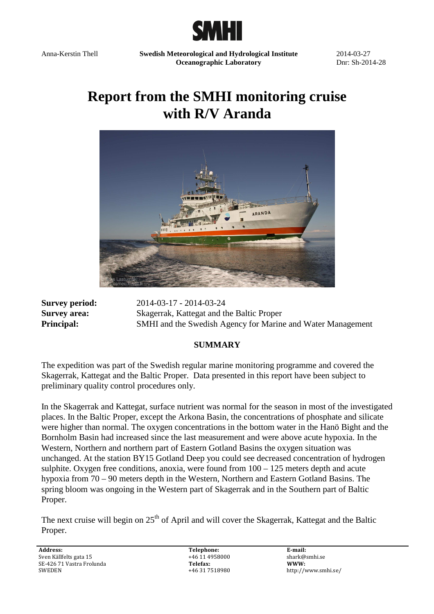

Anna-Kerstin Thell **Swedish Meteorological and Hydrological Institute Oceanographic Laboratory** 

2014-03-27 Dnr: Sh-2014-28

# **Report from the SMHI monitoring cruise with R/V Aranda**



**Survey period:** 2014-03-17 - 2014-03-24 **Survey area:** Skagerrak, Kattegat and the Baltic Proper **Principal:** SMHI and the Swedish Agency for Marine and Water Management

#### **SUMMARY**

The expedition was part of the Swedish regular marine monitoring programme and covered the Skagerrak, Kattegat and the Baltic Proper. Data presented in this report have been subject to preliminary quality control procedures only.

In the Skagerrak and Kattegat, surface nutrient was normal for the season in most of the investigated places. In the Baltic Proper, except the Arkona Basin, the concentrations of phosphate and silicate were higher than normal. The oxygen concentrations in the bottom water in the Hanö Bight and the Bornholm Basin had increased since the last measurement and were above acute hypoxia. In the Western, Northern and northern part of Eastern Gotland Basins the oxygen situation was unchanged. At the station BY15 Gotland Deep you could see decreased concentration of hydrogen sulphite. Oxygen free conditions, anoxia, were found from  $100 - 125$  meters depth and acute hypoxia from 70 – 90 meters depth in the Western, Northern and Eastern Gotland Basins. The spring bloom was ongoing in the Western part of Skagerrak and in the Southern part of Baltic Proper.

The next cruise will begin on  $25<sup>th</sup>$  of April and will cover the Skagerrak, Kattegat and the Baltic Proper.

**Address:**  Sven Källfelts gata 15 SE-426 71 Vastra Frolunda SWEDEN

**Telephone:**  +46 11 4958000 **Telefax:** +46 31 7518980 **E-mail:**  shark@smhi.se **WWW:**  http://www.smhi.se/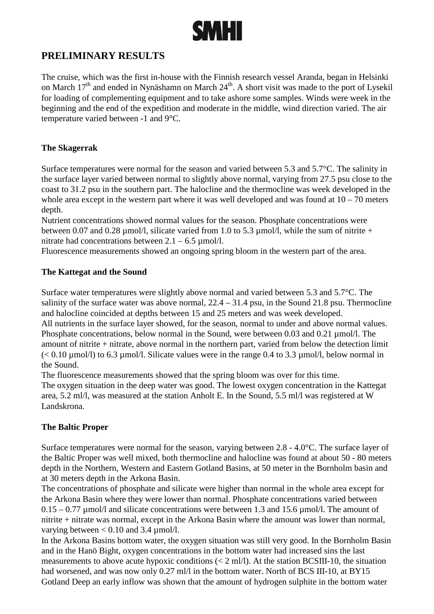

# **PRELIMINARY RESULTS**

The cruise, which was the first in-house with the Finnish research vessel Aranda, began in Helsinki on March 17<sup>th</sup> and ended in Nynäshamn on March 24<sup>th</sup>. A short visit was made to the port of Lysekil for loading of complementing equipment and to take ashore some samples. Winds were week in the beginning and the end of the expedition and moderate in the middle, wind direction varied. The air temperature varied between -1 and 9°C.

#### **The Skagerrak**

Surface temperatures were normal for the season and varied between 5.3 and 5.7°C. The salinity in the surface layer varied between normal to slightly above normal, varying from 27.5 psu close to the coast to 31.2 psu in the southern part. The halocline and the thermocline was week developed in the whole area except in the western part where it was well developed and was found at  $10 - 70$  meters depth.

Nutrient concentrations showed normal values for the season. Phosphate concentrations were between 0.07 and 0.28  $\mu$ mol/l, silicate varied from 1.0 to 5.3  $\mu$ mol/l, while the sum of nitrite + nitrate had concentrations between  $2.1 - 6.5 \text{ µmol/l.}$ 

Fluorescence measurements showed an ongoing spring bloom in the western part of the area.

#### **The Kattegat and the Sound**

Surface water temperatures were slightly above normal and varied between 5.3 and 5.7°C. The salinity of the surface water was above normal,  $22.4 - 31.4$  psu, in the Sound 21.8 psu. Thermocline and halocline coincided at depths between 15 and 25 meters and was week developed. All nutrients in the surface layer showed, for the season, normal to under and above normal values. Phosphate concentrations, below normal in the Sound, were between 0.03 and 0.21 µmol/l. The amount of nitrite + nitrate, above normal in the northern part, varied from below the detection limit  $(< 0.10 \,\mu\text{mol/l})$  to 6.3  $\mu\text{mol/l}$ . Silicate values were in the range 0.4 to 3.3  $\mu\text{mol/l}$ , below normal in the Sound.

The fluorescence measurements showed that the spring bloom was over for this time.

The oxygen situation in the deep water was good. The lowest oxygen concentration in the Kattegat area, 5.2 ml/l, was measured at the station Anholt E. In the Sound, 5.5 ml/l was registered at W Landskrona.

## **The Baltic Proper**

Surface temperatures were normal for the season, varying between 2.8 - 4.0°C. The surface layer of the Baltic Proper was well mixed, both thermocline and halocline was found at about 50 - 80 meters depth in the Northern, Western and Eastern Gotland Basins, at 50 meter in the Bornholm basin and at 30 meters depth in the Arkona Basin.

The concentrations of phosphate and silicate were higher than normal in the whole area except for the Arkona Basin where they were lower than normal. Phosphate concentrations varied between  $0.15 - 0.77$  µmol/l and silicate concentrations were between 1.3 and 15.6 µmol/l. The amount of nitrite + nitrate was normal, except in the Arkona Basin where the amount was lower than normal, varying between  $< 0.10$  and 3.4  $\mu$ mol/l.

In the Arkona Basins bottom water, the oxygen situation was still very good. In the Bornholm Basin and in the Hanö Bight, oxygen concentrations in the bottom water had increased sins the last measurements to above acute hypoxic conditions  $(< 2 \text{ ml/l})$ . At the station BCSIII-10, the situation had worsened, and was now only 0.27 ml/l in the bottom water. North of BCS III-10, at BY15 Gotland Deep an early inflow was shown that the amount of hydrogen sulphite in the bottom water